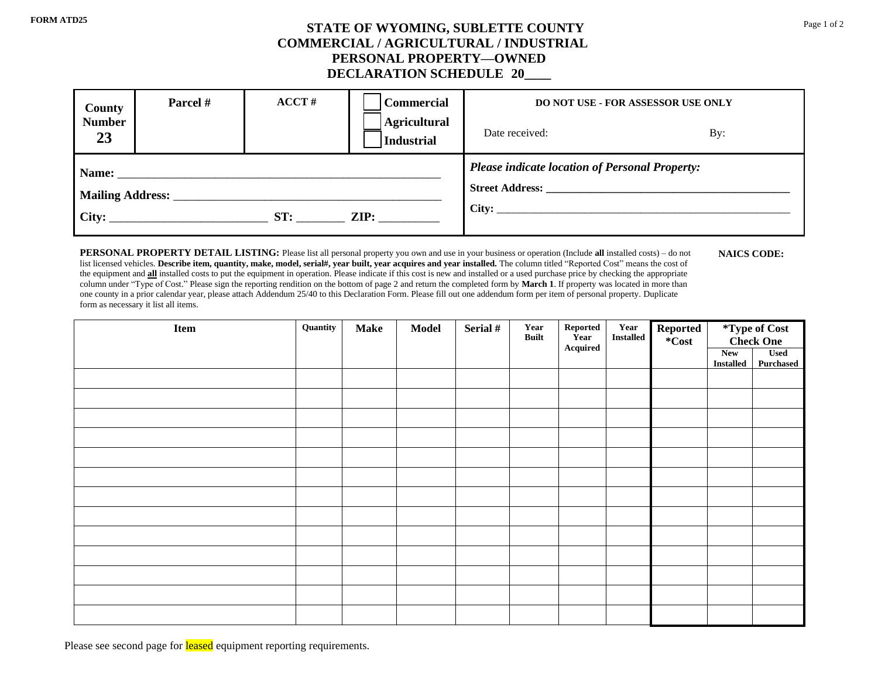## **STATE OF WYOMING, SUBLETTE COUNTY** Page 1 of 2 **COMMERCIAL / AGRICULTURAL / INDUSTRIAL PERSONAL PROPERTY—OWNED DECLARATION SCHEDULE 20\_\_\_\_**

| <b>County</b>                            | Parcel # | $\bf ACCT#$ | <b>Commercial</b>                 | DO NOT USE - FOR ASSESSOR USE ONLY                    |     |  |  |
|------------------------------------------|----------|-------------|-----------------------------------|-------------------------------------------------------|-----|--|--|
| <b>Number</b><br>23                      |          |             | Agricultural<br><b>Industrial</b> | Date received:                                        | By: |  |  |
| $\text{City:}$<br>ST:<br>$\mathbf{ZIP:}$ |          |             |                                   | <b>Please indicate location of Personal Property:</b> |     |  |  |

**PERSONAL PROPERTY DETAIL LISTING:** Please list all personal property you own and use in your business or operation (Include **all** installed costs) – do not list licensed vehicles. Describe item, quantity, make, model, serial#, year built, year acquires and year installed. The column titled "Reported Cost" means the cost of the equipment and **all** installed costs to put the equipment in operation. Please indicate if this cost is new and installed or a used purchase price by checking the appropriate column under "Type of Cost." Please sign the reporting rendition on the bottom of page 2 and return the completed form by **March 1**. If property was located in more than one county in a prior calendar year, please attach Addendum 25/40 to this Declaration Form. Please fill out one addendum form per item of personal property. Duplicate form as necessary it list all items.

| Item | Quantity | <b>Make</b> | <b>Model</b> | Serial # | Year<br><b>Built</b> | ${\bf Reported}$<br>Year | Year<br><b>Installed</b> | Reported<br>*Cost | *Type of Cost<br>Check One     |                                 |
|------|----------|-------------|--------------|----------|----------------------|--------------------------|--------------------------|-------------------|--------------------------------|---------------------------------|
|      |          |             |              |          |                      | ${\bf Acquired}$         |                          |                   | <b>New</b><br><b>Installed</b> | <b>Used</b><br><b>Purchased</b> |
|      |          |             |              |          |                      |                          |                          |                   |                                |                                 |
|      |          |             |              |          |                      |                          |                          |                   |                                |                                 |
|      |          |             |              |          |                      |                          |                          |                   |                                |                                 |
|      |          |             |              |          |                      |                          |                          |                   |                                |                                 |
|      |          |             |              |          |                      |                          |                          |                   |                                |                                 |
|      |          |             |              |          |                      |                          |                          |                   |                                |                                 |
|      |          |             |              |          |                      |                          |                          |                   |                                |                                 |
|      |          |             |              |          |                      |                          |                          |                   |                                |                                 |
|      |          |             |              |          |                      |                          |                          |                   |                                |                                 |
|      |          |             |              |          |                      |                          |                          |                   |                                |                                 |
|      |          |             |              |          |                      |                          |                          |                   |                                |                                 |
|      |          |             |              |          |                      |                          |                          |                   |                                |                                 |
|      |          |             |              |          |                      |                          |                          |                   |                                |                                 |

Please see second page for **leased** equipment reporting requirements.

**NAICS CODE:**